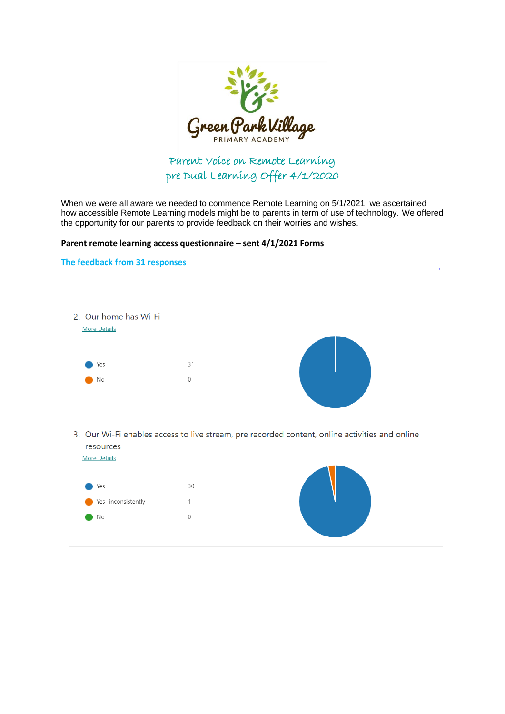

## Parent Voice on Remote Learning pre Dual Learning Offer 4/1/2020

When we were all aware we needed to commence Remote Learning on 5/1/2021, we ascertained how accessible Remote Learning models might be to parents in term of use of technology. We offered the opportunity for our parents to provide feedback on their worries and wishes.

## **Parent remote learning access questionnaire – sent 4/1/2021 Forms**



3. Our Wi-Fi enables access to live stream, pre recorded content, online activities and online resources **More Details** 



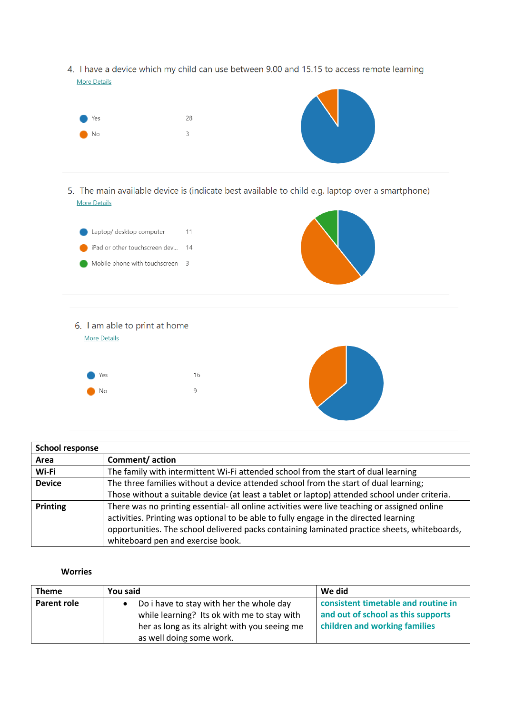4. I have a device which my child can use between 9.00 and 15.15 to access remote learning **More Details** 



| <b>School response</b> |                                                                                                                                                                                                                                                                                                                            |  |
|------------------------|----------------------------------------------------------------------------------------------------------------------------------------------------------------------------------------------------------------------------------------------------------------------------------------------------------------------------|--|
| Area                   | Comment/action                                                                                                                                                                                                                                                                                                             |  |
| Wi-Fi                  | The family with intermittent Wi-Fi attended school from the start of dual learning                                                                                                                                                                                                                                         |  |
| <b>Device</b>          | The three families without a device attended school from the start of dual learning;                                                                                                                                                                                                                                       |  |
|                        | Those without a suitable device (at least a tablet or laptop) attended school under criteria.                                                                                                                                                                                                                              |  |
| <b>Printing</b>        | There was no printing essential- all online activities were live teaching or assigned online<br>activities. Printing was optional to be able to fully engage in the directed learning<br>opportunities. The school delivered packs containing laminated practice sheets, whiteboards,<br>whiteboard pen and exercise book. |  |

## **Worries**

| <b>Theme</b>       | You said                                      | We did                              |
|--------------------|-----------------------------------------------|-------------------------------------|
| <b>Parent role</b> | Do i have to stay with her the whole day      | consistent timetable and routine in |
|                    | while learning? Its ok with me to stay with   | and out of school as this supports  |
|                    | her as long as its alright with you seeing me | children and working families       |
|                    | as well doing some work.                      |                                     |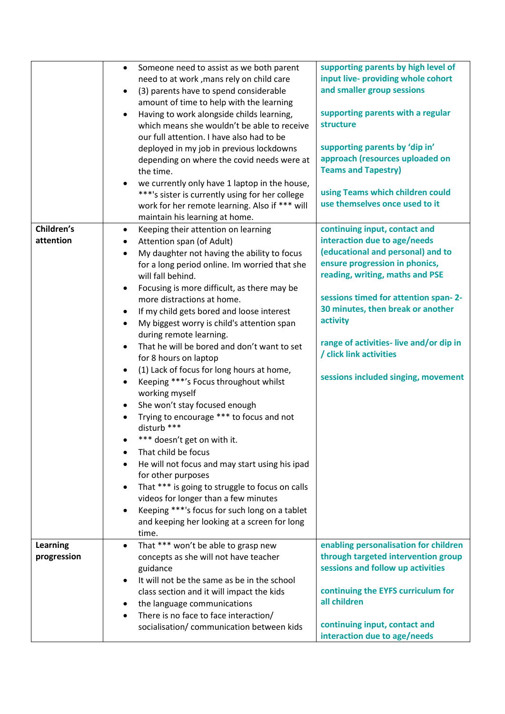|                 | Someone need to assist as we both parent<br>$\bullet$<br>need to at work, mans rely on child care<br>(3) parents have to spend considerable<br>$\bullet$<br>amount of time to help with the learning<br>Having to work alongside childs learning,<br>$\bullet$<br>which means she wouldn't be able to receive<br>our full attention. I have also had to be<br>deployed in my job in previous lockdowns<br>depending on where the covid needs were at<br>the time. | supporting parents by high level of<br>input live- providing whole cohort<br>and smaller group sessions<br>supporting parents with a regular<br>structure<br>supporting parents by 'dip in'<br>approach (resources uploaded on<br><b>Teams and Tapestry)</b> |
|-----------------|-------------------------------------------------------------------------------------------------------------------------------------------------------------------------------------------------------------------------------------------------------------------------------------------------------------------------------------------------------------------------------------------------------------------------------------------------------------------|--------------------------------------------------------------------------------------------------------------------------------------------------------------------------------------------------------------------------------------------------------------|
|                 | we currently only have 1 laptop in the house,<br>***'s sister is currently using for her college<br>work for her remote learning. Also if *** will<br>maintain his learning at home.                                                                                                                                                                                                                                                                              | using Teams which children could<br>use themselves once used to it                                                                                                                                                                                           |
|                 |                                                                                                                                                                                                                                                                                                                                                                                                                                                                   |                                                                                                                                                                                                                                                              |
| Children's      | Keeping their attention on learning<br>$\bullet$                                                                                                                                                                                                                                                                                                                                                                                                                  | continuing input, contact and                                                                                                                                                                                                                                |
| attention       | Attention span (of Adult)<br>٠                                                                                                                                                                                                                                                                                                                                                                                                                                    | interaction due to age/needs                                                                                                                                                                                                                                 |
|                 | My daughter not having the ability to focus<br>$\bullet$                                                                                                                                                                                                                                                                                                                                                                                                          | (educational and personal) and to                                                                                                                                                                                                                            |
|                 | for a long period online. Im worried that she                                                                                                                                                                                                                                                                                                                                                                                                                     | ensure progression in phonics,                                                                                                                                                                                                                               |
|                 | will fall behind.                                                                                                                                                                                                                                                                                                                                                                                                                                                 | reading, writing, maths and PSE                                                                                                                                                                                                                              |
|                 |                                                                                                                                                                                                                                                                                                                                                                                                                                                                   |                                                                                                                                                                                                                                                              |
|                 | Focusing is more difficult, as there may be                                                                                                                                                                                                                                                                                                                                                                                                                       |                                                                                                                                                                                                                                                              |
|                 | more distractions at home.                                                                                                                                                                                                                                                                                                                                                                                                                                        | sessions timed for attention span-2-                                                                                                                                                                                                                         |
|                 | If my child gets bored and loose interest<br>$\bullet$                                                                                                                                                                                                                                                                                                                                                                                                            | 30 minutes, then break or another                                                                                                                                                                                                                            |
|                 | My biggest worry is child's attention span<br>$\bullet$                                                                                                                                                                                                                                                                                                                                                                                                           | activity                                                                                                                                                                                                                                                     |
|                 | during remote learning.                                                                                                                                                                                                                                                                                                                                                                                                                                           | range of activities-live and/or dip in                                                                                                                                                                                                                       |
|                 | That he will be bored and don't want to set<br>$\bullet$                                                                                                                                                                                                                                                                                                                                                                                                          |                                                                                                                                                                                                                                                              |
|                 | for 8 hours on laptop                                                                                                                                                                                                                                                                                                                                                                                                                                             | / click link activities                                                                                                                                                                                                                                      |
|                 | (1) Lack of focus for long hours at home,<br>$\bullet$                                                                                                                                                                                                                                                                                                                                                                                                            |                                                                                                                                                                                                                                                              |
|                 | Keeping ***'s Focus throughout whilst<br>$\bullet$<br>working myself                                                                                                                                                                                                                                                                                                                                                                                              | sessions included singing, movement                                                                                                                                                                                                                          |
|                 |                                                                                                                                                                                                                                                                                                                                                                                                                                                                   |                                                                                                                                                                                                                                                              |
|                 | She won't stay focused enough                                                                                                                                                                                                                                                                                                                                                                                                                                     |                                                                                                                                                                                                                                                              |
|                 | Trying to encourage *** to focus and not<br>disturb ***                                                                                                                                                                                                                                                                                                                                                                                                           |                                                                                                                                                                                                                                                              |
|                 | *** doesn't get on with it.                                                                                                                                                                                                                                                                                                                                                                                                                                       |                                                                                                                                                                                                                                                              |
|                 | That child be focus                                                                                                                                                                                                                                                                                                                                                                                                                                               |                                                                                                                                                                                                                                                              |
|                 | He will not focus and may start using his ipad                                                                                                                                                                                                                                                                                                                                                                                                                    |                                                                                                                                                                                                                                                              |
|                 | for other purposes                                                                                                                                                                                                                                                                                                                                                                                                                                                |                                                                                                                                                                                                                                                              |
|                 | That *** is going to struggle to focus on calls                                                                                                                                                                                                                                                                                                                                                                                                                   |                                                                                                                                                                                                                                                              |
|                 | videos for longer than a few minutes                                                                                                                                                                                                                                                                                                                                                                                                                              |                                                                                                                                                                                                                                                              |
|                 | Keeping ***'s focus for such long on a tablet                                                                                                                                                                                                                                                                                                                                                                                                                     |                                                                                                                                                                                                                                                              |
|                 | and keeping her looking at a screen for long                                                                                                                                                                                                                                                                                                                                                                                                                      |                                                                                                                                                                                                                                                              |
|                 | time.                                                                                                                                                                                                                                                                                                                                                                                                                                                             |                                                                                                                                                                                                                                                              |
| <b>Learning</b> | That *** won't be able to grasp new<br>$\bullet$                                                                                                                                                                                                                                                                                                                                                                                                                  | enabling personalisation for children                                                                                                                                                                                                                        |
| progression     | concepts as she will not have teacher                                                                                                                                                                                                                                                                                                                                                                                                                             | through targeted intervention group                                                                                                                                                                                                                          |
|                 |                                                                                                                                                                                                                                                                                                                                                                                                                                                                   |                                                                                                                                                                                                                                                              |
|                 | guidance                                                                                                                                                                                                                                                                                                                                                                                                                                                          | sessions and follow up activities                                                                                                                                                                                                                            |
|                 | It will not be the same as be in the school                                                                                                                                                                                                                                                                                                                                                                                                                       |                                                                                                                                                                                                                                                              |
|                 | class section and it will impact the kids                                                                                                                                                                                                                                                                                                                                                                                                                         | continuing the EYFS curriculum for                                                                                                                                                                                                                           |
|                 | the language communications                                                                                                                                                                                                                                                                                                                                                                                                                                       | all children                                                                                                                                                                                                                                                 |
|                 | There is no face to face interaction/                                                                                                                                                                                                                                                                                                                                                                                                                             |                                                                                                                                                                                                                                                              |
|                 | socialisation/ communication between kids                                                                                                                                                                                                                                                                                                                                                                                                                         | continuing input, contact and                                                                                                                                                                                                                                |
|                 |                                                                                                                                                                                                                                                                                                                                                                                                                                                                   | interaction due to age/needs                                                                                                                                                                                                                                 |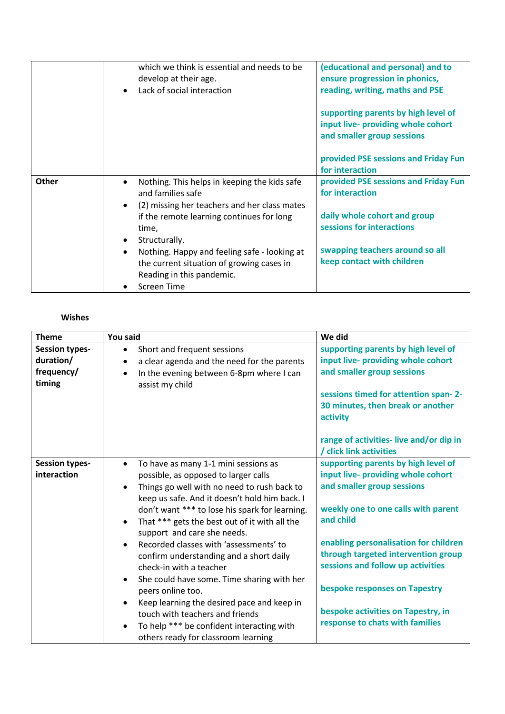|              | which we think is essential and needs to be<br>develop at their age.<br>Lack of social interaction                                                 | (educational and personal) and to<br>ensure progression in phonics,<br>reading, writing, maths and PSE  |
|--------------|----------------------------------------------------------------------------------------------------------------------------------------------------|---------------------------------------------------------------------------------------------------------|
|              |                                                                                                                                                    | supporting parents by high level of<br>input live- providing whole cohort<br>and smaller group sessions |
|              |                                                                                                                                                    | provided PSE sessions and Friday Fun<br>for interaction                                                 |
| <b>Other</b> | Nothing. This helps in keeping the kids safe<br>and families safe<br>(2) missing her teachers and her class mates                                  | provided PSE sessions and Friday Fun<br>for interaction                                                 |
|              | if the remote learning continues for long<br>time,<br>Structurally.                                                                                | daily whole cohort and group<br>sessions for interactions                                               |
|              | Nothing. Happy and feeling safe - looking at<br>$\bullet$<br>the current situation of growing cases in<br>Reading in this pandemic.<br>Screen Time | swapping teachers around so all<br>keep contact with children                                           |

## **Wishes**

| <b>Theme</b>                                               | You said                                                                                                                                                                                                                                                                                                                                                                                                                                                                                                                                                                                                                                                                                                                                             | We did                                                                                                                                                                                                                                                                                                                                                                                     |
|------------------------------------------------------------|------------------------------------------------------------------------------------------------------------------------------------------------------------------------------------------------------------------------------------------------------------------------------------------------------------------------------------------------------------------------------------------------------------------------------------------------------------------------------------------------------------------------------------------------------------------------------------------------------------------------------------------------------------------------------------------------------------------------------------------------------|--------------------------------------------------------------------------------------------------------------------------------------------------------------------------------------------------------------------------------------------------------------------------------------------------------------------------------------------------------------------------------------------|
| <b>Session types-</b><br>duration/<br>frequency/<br>timing | Short and frequent sessions<br>$\bullet$<br>a clear agenda and the need for the parents<br>$\bullet$<br>In the evening between 6-8pm where I can<br>$\bullet$<br>assist my child                                                                                                                                                                                                                                                                                                                                                                                                                                                                                                                                                                     | supporting parents by high level of<br>input live- providing whole cohort<br>and smaller group sessions<br>sessions timed for attention span-2-<br>30 minutes, then break or another<br>activity                                                                                                                                                                                           |
|                                                            |                                                                                                                                                                                                                                                                                                                                                                                                                                                                                                                                                                                                                                                                                                                                                      | range of activities-live and/or dip in<br>/ click link activities                                                                                                                                                                                                                                                                                                                          |
| <b>Session types-</b><br>interaction                       | To have as many 1-1 mini sessions as<br>$\bullet$<br>possible, as opposed to larger calls<br>Things go well with no need to rush back to<br>$\bullet$<br>keep us safe. And it doesn't hold him back. I<br>don't want *** to lose his spark for learning.<br>That *** gets the best out of it with all the<br>$\bullet$<br>support and care she needs.<br>Recorded classes with 'assessments' to<br>$\bullet$<br>confirm understanding and a short daily<br>check-in with a teacher<br>She could have some. Time sharing with her<br>$\bullet$<br>peers online too.<br>Keep learning the desired pace and keep in<br>$\bullet$<br>touch with teachers and friends<br>To help *** be confident interacting with<br>others ready for classroom learning | supporting parents by high level of<br>input live- providing whole cohort<br>and smaller group sessions<br>weekly one to one calls with parent<br>and child<br>enabling personalisation for children<br>through targeted intervention group<br>sessions and follow up activities<br>bespoke responses on Tapestry<br>bespoke activities on Tapestry, in<br>response to chats with families |